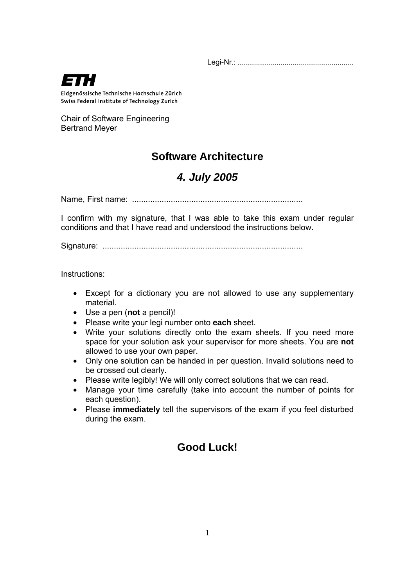

Eidgenössische Technische Hochschule Zürich Swiss Federal Institute of Technology Zurich

Chair of Software Engineering Bertrand Meyer

# **Software Architecture**

# *4. July 2005*

Name, First name: ...........................................................................

I confirm with my signature, that I was able to take this exam under regular conditions and that I have read and understood the instructions below.

Signature: ........................................................................................

Instructions:

- Except for a dictionary you are not allowed to use any supplementary material.
- Use a pen (**not** a pencil)!
- Please write your legi number onto **each** sheet.
- Write your solutions directly onto the exam sheets. If you need more space for your solution ask your supervisor for more sheets. You are **not**  allowed to use your own paper.
- Only one solution can be handed in per question. Invalid solutions need to be crossed out clearly.
- Please write legibly! We will only correct solutions that we can read.
- Manage your time carefully (take into account the number of points for each question).
- Please **immediately** tell the supervisors of the exam if you feel disturbed during the exam.

# **Good Luck!**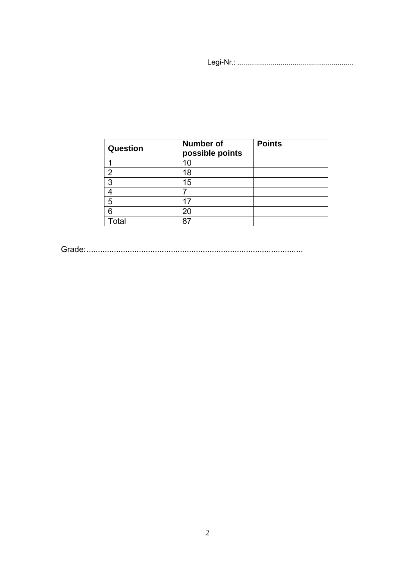| Question       | <b>Number of</b><br>possible points | <b>Points</b> |
|----------------|-------------------------------------|---------------|
|                | 10                                  |               |
| $\overline{2}$ | 18                                  |               |
| 3              | 15                                  |               |
|                |                                     |               |
| 5              | 17                                  |               |
| 6              | 20                                  |               |
| Total          | 87                                  |               |

Grade:...............................................................................................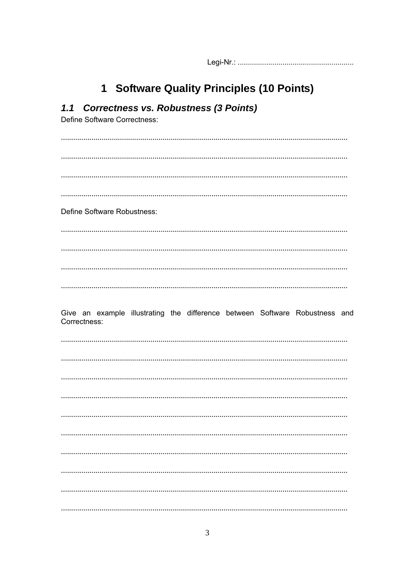# 1 Software Quality Principles (10 Points)

| 1.1 Correctness vs. Robustness (3 Points)<br>Define Software Correctness:                   |
|---------------------------------------------------------------------------------------------|
|                                                                                             |
|                                                                                             |
|                                                                                             |
| Define Software Robustness:                                                                 |
|                                                                                             |
|                                                                                             |
|                                                                                             |
| Give an example illustrating the difference between Software Robustness and<br>Correctness: |
|                                                                                             |
|                                                                                             |
|                                                                                             |
|                                                                                             |
|                                                                                             |
|                                                                                             |
|                                                                                             |
|                                                                                             |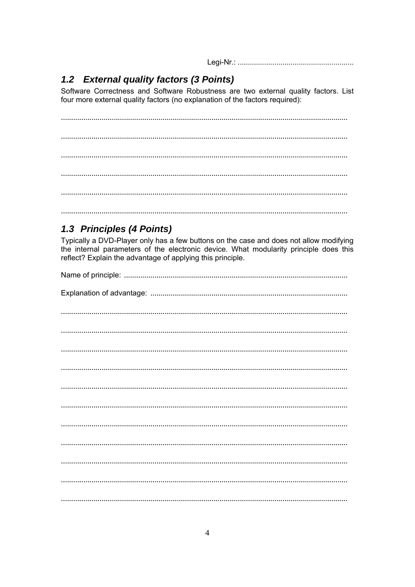# 1.2 External quality factors (3 Points)

Software Correctness and Software Robustness are two external quality factors. List four more external quality factors (no explanation of the factors required):

# 1.3 Principles (4 Points)

Typically a DVD-Player only has a few buttons on the case and does not allow modifying the internal parameters of the electronic device. What modularity principle does this reflect? Explain the advantage of applying this principle.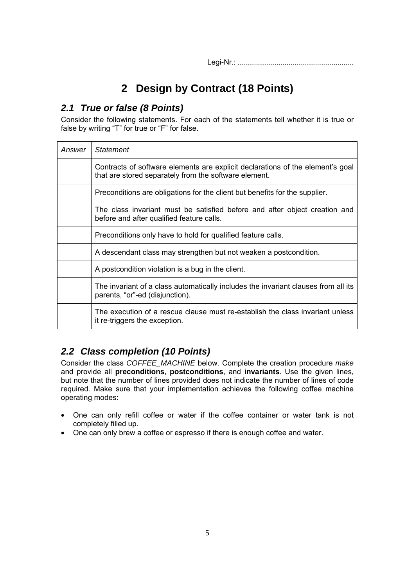# **2 Design by Contract (18 Points)**

## *2.1 True or false (8 Points)*

Consider the following statements. For each of the statements tell whether it is true or false by writing "T" for true or "F" for false.

| Answer | <b>Statement</b>                                                                                                                        |
|--------|-----------------------------------------------------------------------------------------------------------------------------------------|
|        | Contracts of software elements are explicit declarations of the element's goal<br>that are stored separately from the software element. |
|        | Preconditions are obligations for the client but benefits for the supplier.                                                             |
|        | The class invariant must be satisfied before and after object creation and<br>before and after qualified feature calls.                 |
|        | Preconditions only have to hold for qualified feature calls.                                                                            |
|        | A descendant class may strengthen but not weaken a postcondition.                                                                       |
|        | A postcondition violation is a bug in the client.                                                                                       |
|        | The invariant of a class automatically includes the invariant clauses from all its<br>parents, "or"-ed (disjunction).                   |
|        | The execution of a rescue clause must re-establish the class invariant unless<br>it re-triggers the exception.                          |

# *2.2 Class completion (10 Points)*

Consider the class *COFFEE\_MACHINE* below. Complete the creation procedure *make* and provide all **preconditions**, **postconditions**, and **invariants**. Use the given lines, but note that the number of lines provided does not indicate the number of lines of code required. Make sure that your implementation achieves the following coffee machine operating modes:

- One can only refill coffee or water if the coffee container or water tank is not completely filled up.
- One can only brew a coffee or espresso if there is enough coffee and water.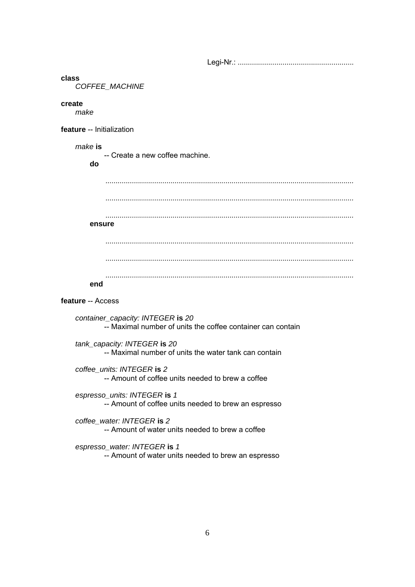#### **class**

 *COFFEE\_MACHINE* 

#### **create**

 *make* 

**feature** -- Initialization

#### *make* **is**

-- Create a new coffee machine.

**do** 

| ensure |  |
|--------|--|
|        |  |
|        |  |
|        |  |

### **feature** -- Access

- *container\_capacity: INTEGER* **is** *20* -- Maximal number of units the coffee container can contain
- *tank\_capacity: INTEGER* **is** *20* -- Maximal number of units the water tank can contain
- *coffee\_units: INTEGER* **is** *2* -- Amount of coffee units needed to brew a coffee
- *espresso\_units: INTEGER* **is** *1* -- Amount of coffee units needed to brew an espresso
- *coffee\_water: INTEGER* **is** *2* -- Amount of water units needed to brew a coffee
- *espresso\_water: INTEGER* **is** *1* -- Amount of water units needed to brew an espresso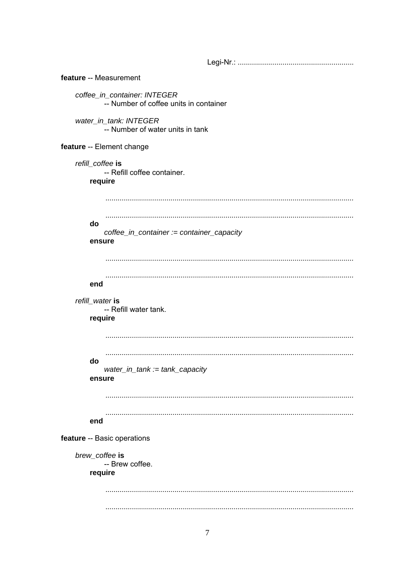feature -- Measurement coffee\_in\_container: INTEGER -- Number of coffee units in container water\_in\_tank: INTEGER -- Number of water units in tank feature -- Element change refill\_coffee is -- Refill coffee container. require do coffee in container := container capacity ensure end refill\_water is -- Refill water tank. require do water\_in\_tank :=  $tank$ \_capacity ensure end feature -- Basic operations brew coffee is -- Brew coffee. require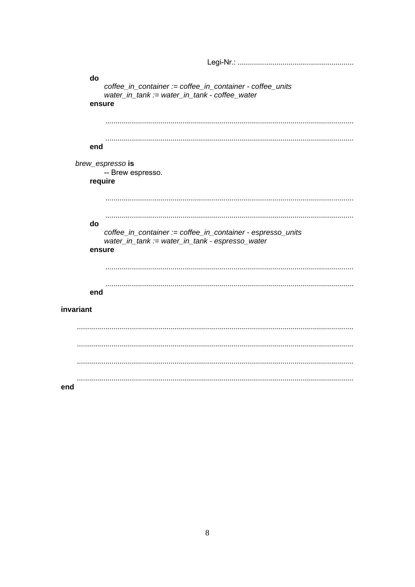```
do
   coffee_in_container := coffee_in_container - coffee_units
   water_in_tank := water_in_tank - coffee_water
  ensure
   end
 brew_espresso is
   -- Brew espresso.
  require
    do
   coffee in container := coffee in container - espresso units
   water_in_tank := water_in_tank - espresso_water
  ensure
   end
invariant
```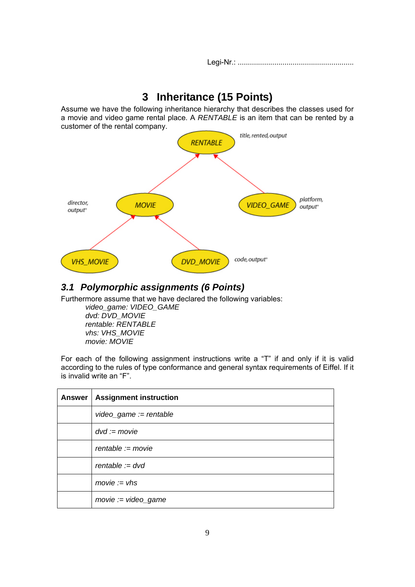# **3 Inheritance (15 Points)**

Assume we have the following inheritance hierarchy that describes the classes used for a movie and video game rental place. A *RENTABLE* is an item that can be rented by a customer of the rental company.



## *3.1 Polymorphic assignments (6 Points)*

Furthermore assume that we have declared the following variables:

 *video\_game: VIDEO\_GAME dvd: DVD\_MOVIE rentable: RENTABLE vhs: VHS\_MOVIE movie: MOVIE* 

For each of the following assignment instructions write a "T" if and only if it is valid according to the rules of type conformance and general syntax requirements of Eiffel. If it is invalid write an "F".

| <b>Answer</b> | <b>Assignment instruction</b> |
|---------------|-------------------------------|
|               | $videogame := rentable$       |
|               | $dvd := movie$                |
|               | $rentable := movie$           |
|               | $rentable := dvd$             |
|               | $move := vhs$                 |
|               | $move := video\_game$         |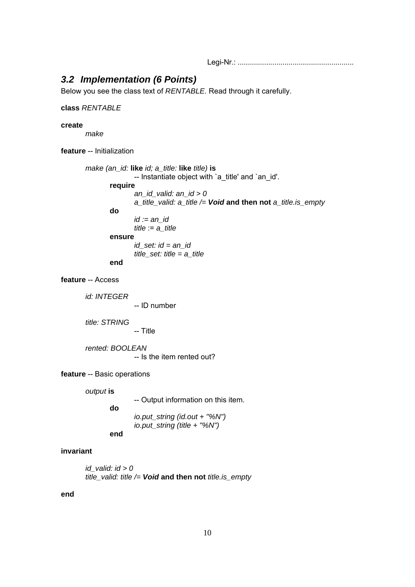## *3.2 Implementation (6 Points)*

Below you see the class text of *RENTABLE.* Read through it carefully.

### **class** *RENTABLE*

### **create**

 *make* 

**feature** -- Initialization

```
 make (an_id: like id; a_title: like title) is
                -- Instantiate object with `a_title' and `an_id'.
         require
                 an_id_valid: an_id > 0 
                 a_title_valid: a_title /= Void and then not a_title.is_empty 
         do
                 id := an_id 
                title := a title
         ensure
                 id_set: id = an_id 
                 title_set: title = a_title 
         end
```
### **feature** -- Access

 *id: INTEGER* -- ID number  *title: STRING* -- Title  *rented: BOOLEAN*  -- Is the item rented out? **feature** -- Basic operations

 *output* **is**

-- Output information on this item. **do**  *io.put\_string (id.out + "%N") io.put\_string (title + "%N")* **end**

### **invariant**

 *id\_valid: id > 0 title\_valid: title /= Void* **and then not** *title.is\_empty*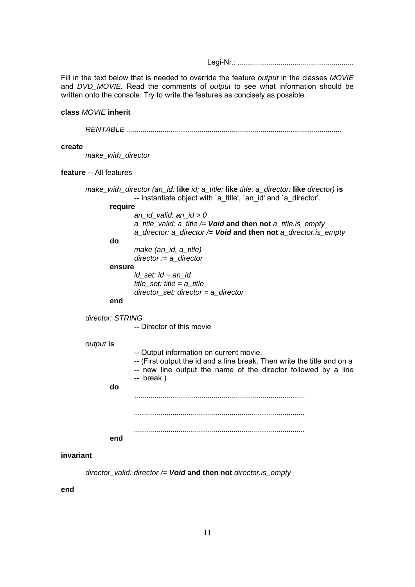Fill in the text below that is needed to override the feature *output* in the classes *MOVIE* and *DVD\_MOVIE.* Read the comments of *output* to see what information should be written onto the console. Try to write the features as concisely as possible.

### **class** *MOVIE* **inherit**

 *RENTABLE* ..........................................................................................................

#### **create**

 *make\_with\_director* 

### **feature** -- All features

 *make\_with\_director (an\_id:* **like** *id; a\_title:* **like** *title; a\_director:* **like** *director)* **is** -- Instantiate object with `a\_title', `an\_id' and `a\_director'. **require**  *an\_id\_valid: an\_id > 0 a\_title\_valid: a\_title /= Void* **and then not** *a\_title.is\_empty a\_director: a\_director /= Void* **and then not** *a\_director.is\_empty* **do**  *make (an\_id, a\_title) director := a\_director* **ensure**  *id\_set: id = an\_id title\_set: title = a\_title director\_set: director = a\_director* **end**  *director: STRING* -- Director of this movie  *output* **is** -- Output information on current movie. -- (First output the id and a line break. Then write the title and on a -- new line output the name of the director followed by a line -- break.) **do** ....................................................................................  *.................................................................................... ....................................................................................* **end**

#### **invariant**

 *director\_valid: director /= Void* **and then not** *director.is\_empty*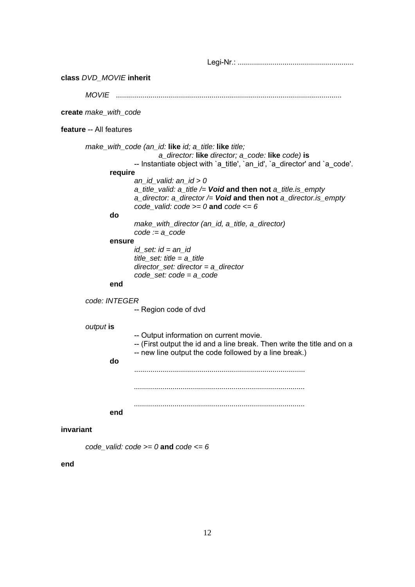Legi-Nr.: ......................................................... **class** *DVD\_MOVIE* **inherit**  *MOVIE* ............................................................................................................... **create** *make\_with\_code*  **feature** -- All features  *make\_with\_code (an\_id:* **like** *id; a\_title:* **like** *title; a\_director:* **like** *director; a\_code:* **like** *code)* **is** -- Instantiate object with `a\_title', `an\_id', `a\_director' and `a\_code'. **require**  *an\_id\_valid: an\_id > 0 a\_title\_valid: a\_title /= Void* **and then not** *a\_title.is\_empty a\_director: a\_director /= Void* **and then not** *a\_director.is\_empty code\_valid: code >= 0* **and** *code <= 6* **do**  *make\_with\_director (an\_id, a\_title, a\_director) code := a\_code* **ensure**  *id\_set: id = an\_id title\_set: title = a\_title director\_set: director = a\_director code\_set: code = a\_code* **end**  *code: INTEGER* -- Region code of dvd  *output* **is** -- Output information on current movie. -- (First output the id and a line break. Then write the title and on a -- new line output the code followed by a line break.) **do** ....................................................................................  *.................................................................................... ....................................................................................* **end invariant**

*code* valid:  $code \ge 0$  **and**  $code \le 6$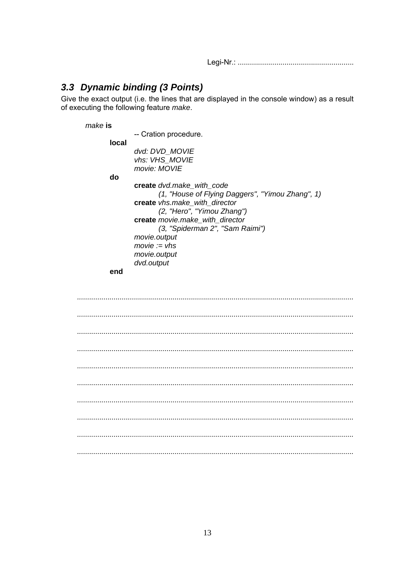## 3.3 Dynamic binding (3 Points)

Give the exact output (i.e. the lines that are displayed in the console window) as a result of executing the following feature make.

make is

-- Cration procedure.

local

dvd: DVD MOVIE vhs: VHS MOVIE movie: MOVIE

do

create dvd.make with code (1, "House of Flying Daggers", "Yimou Zhang", 1) create vhs.make with director (2, "Hero", "Yimou Zhang") create movie.make\_with\_director (3, "Spiderman 2", "Sam Raimi") movie.output  $move := vhs$ movie.output dvd.output

end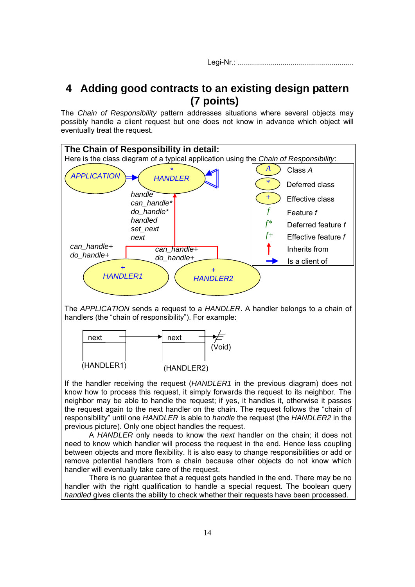# **4 Adding good contracts to an existing design pattern (7 points)**

The *Chain of Responsibility* pattern addresses situations where several objects may possibly handle a client request but one does not know in advance which object will eventually treat the request.



The *APPLICATION* sends a request to a *HANDLER*. A handler belongs to a chain of handlers (the "chain of responsibility"). For example:



If the handler receiving the request (*HANDLER1* in the previous diagram) does not know how to process this request, it simply forwards the request to its neighbor. The neighbor may be able to handle the request; if yes, it handles it, otherwise it passes the request again to the next handler on the chain. The request follows the "chain of responsibility" until one *HANDLER* is able to *handle* the request (the *HANDLER2* in the previous picture). Only one object handles the request.

 A *HANDLER* only needs to know the *next* handler on the chain; it does not need to know which handler will process the request in the end. Hence less coupling between objects and more flexibility. It is also easy to change responsibilities or add or remove potential handlers from a chain because other objects do not know which handler will eventually take care of the request.

 There is no guarantee that a request gets handled in the end. There may be no handler with the right qualification to handle a special request. The boolean query *handled* gives clients the ability to check whether their requests have been processed.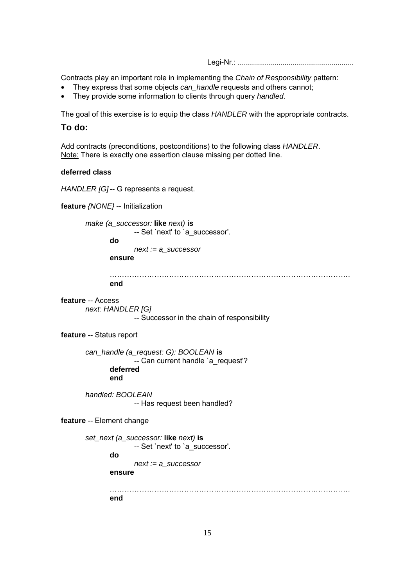Contracts play an important role in implementing the *Chain of Responsibility* pattern:

- They express that some objects *can\_handle* requests and others cannot;
- They provide some information to clients through query *handled*.

The goal of this exercise is to equip the class *HANDLER* with the appropriate contracts.

### **To do:**

Add contracts (preconditions, postconditions) to the following class *HANDLER*. Note: There is exactly one assertion clause missing per dotted line.

### **deferred class**

*HANDLER [G]-- G represents a request.* 

```
feature {NONE} -- Initialization 
       make (a_successor: like next) is
                   -- Set `next' to `a_successor'.
              do
                    next := a_successor 
              ensure
             ……………………………………………………………………………………. 
              end
feature -- Access 
       next: HANDLER [G] 
                    -- Successor in the chain of responsibility 
feature -- Status report 
       can_handle (a_request: G): BOOLEAN is
                    -- Can current handle `a_request'?
              deferred
              end
       handled: BOOLEAN 
                   -- Has request been handled?
feature -- Element change 
       set_next (a_successor: like next) is
                   -- Set `next' to `a_successor'.
              do
                    next := a_successor 
              ensure
             ……………………………………………………………………………………. 
              end
```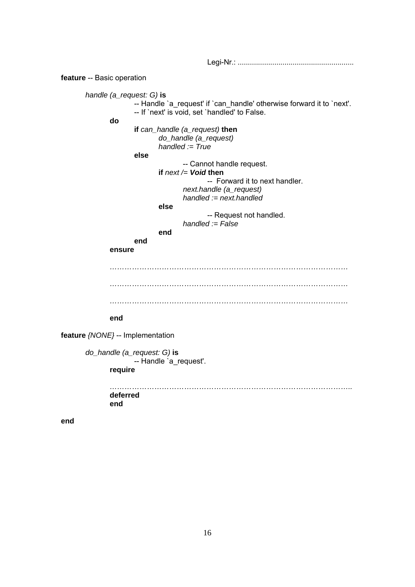**feature** -- Basic operation  *handle (a\_request: G)* **is** -- Handle `a\_request' if `can\_handle' otherwise forward it to `next'. -- If `next' is void, set `handled' to False. **do** **if** *can\_handle (a\_request)* **then**  *do\_handle (a\_request) handled := True* **else** -- Cannot handle request. **if** *next /= Void* **then** -- Forward it to next handler.  *next.handle (a\_request) handled := next.handled* **else** -- Request not handled.  *handled := False* **end** **end** **ensure** *…………………………………………………………………………………… …………………………………………………………………………………… ……………………………………………………………………………………* **end feature** *{NONE}* -- Implementation  *do\_handle (a\_request: G)* **is** -- Handle `a\_request'. **require**  *……………………………………………………………………………………..* **deferred** **end**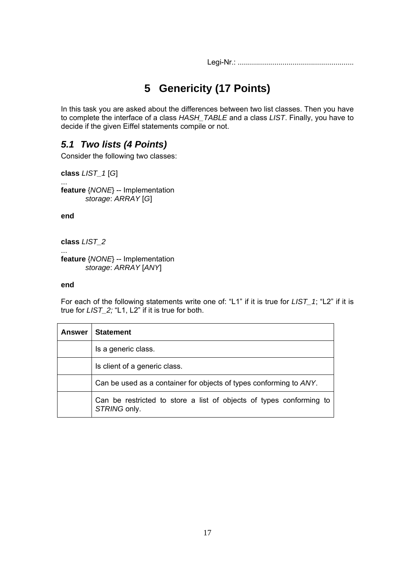# **5 Genericity (17 Points)**

In this task you are asked about the differences between two list classes. Then you have to complete the interface of a class *HASH\_TABLE* and a class *LIST*. Finally, you have to decide if the given Eiffel statements compile or not.

## *5.1 Two lists (4 Points)*

Consider the following two classes:

**class** *LIST\_1* [*G*]

... **feature** {*NONE*} -- Implementation  *storage*: *ARRAY* [*G*]

**end**

**class** *LIST\_2*

... **feature** {*NONE*} -- Implementation  *storage*: *ARRAY* [*ANY*]

### **end**

For each of the following statements write one of: "L1" if it is true for *LIST\_1*; "L2" if it is true for *LIST\_2;* "L1, L2" if it is true for both.

| Answer | <b>Statement</b>                                                                    |
|--------|-------------------------------------------------------------------------------------|
|        | Is a generic class.                                                                 |
|        | Is client of a generic class.                                                       |
|        | Can be used as a container for objects of types conforming to ANY.                  |
|        | Can be restricted to store a list of objects of types conforming to<br>STRING only. |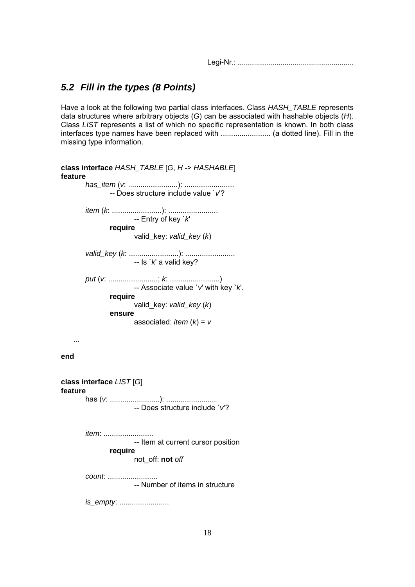## *5.2 Fill in the types (8 Points)*

Have a look at the following two partial class interfaces. Class *HASH\_TABLE* represents data structures where arbitrary objects (*G*) can be associated with hashable objects (*H*). Class *LIST* represents a list of which no specific representation is known. In both class interfaces type names have been replaced with ........................ (a dotted line). Fill in the missing type information.

| class interface HASH_TABLE [G, H -> HASHABLE]<br>feature |
|----------------------------------------------------------|
| -- Does structure include value `v'?                     |
|                                                          |
| require<br>valid_key: valid_key (k)                      |
|                                                          |
|                                                          |
| require<br>valid_key: valid_key (k)<br>ensure            |
| associated: <i>item</i> $(k) = v$                        |
|                                                          |
| end                                                      |
| class interface LIST [G]<br>feature                      |
| -- Does structure include `v'?                           |
| <i>item</i> :<br>-- Item at current cursor position      |
| require<br>not_off: not off                              |
| count.<br>-- Number of items in structure                |
| <i>is_empty</i> :                                        |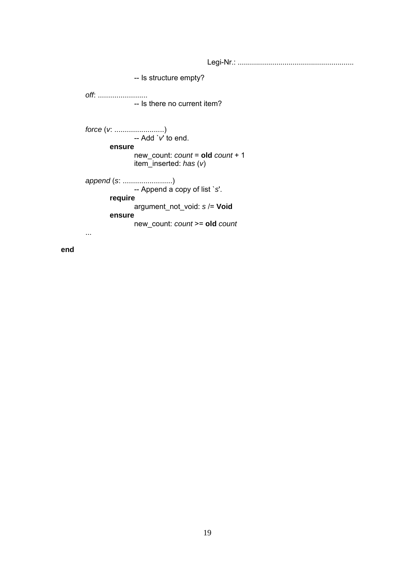Legi-Nr.: ......................................................... -- Is structure empty? *off*: ........................ -- Is there no current item? *force* (*v*: ........................) -- Add `*v*' to end. **ensure** new\_count: *count* = **old** *count* + 1 item\_inserted: *has* (*v*) *append* (*s*: ........................) -- Append a copy of list `*s*'. **require**  argument\_not\_void: *s* /= **Void ensure**  new\_count: *count* >= **old** *count* ...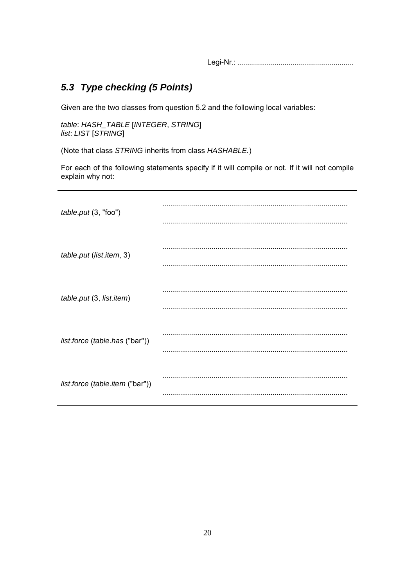## 5.3 Type checking (5 Points)

Given are the two classes from question 5.2 and the following local variables:

table: HASH\_TABLE [INTEGER, STRING] list. LIST [STRING]

(Note that class STRING inherits from class HASHABLE.)

For each of the following statements specify if it will compile or not. If it will not compile explain why not:

| table.put (3, "foo")            |  |
|---------------------------------|--|
|                                 |  |
| table.put (list.item, 3)        |  |
| table.put (3, list.item)        |  |
|                                 |  |
| list.force (table.has ("bar"))  |  |
|                                 |  |
| list.force (table.item ("bar")) |  |
|                                 |  |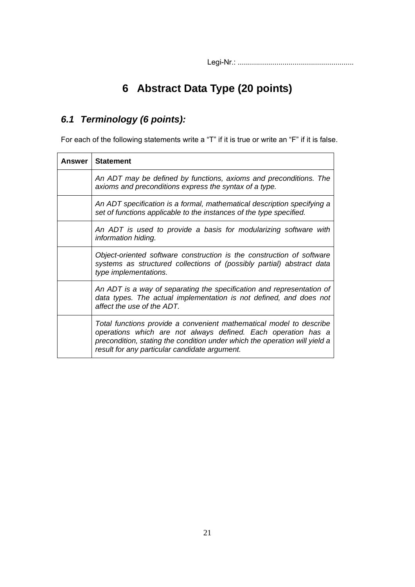# **6 Abstract Data Type (20 points)**

# *6.1 Terminology (6 points):*

For each of the following statements write a "T" if it is true or write an "F" if it is false.

| <b>Answer</b> I | <b>Statement</b>                                                                                                                                                                                                                                                    |
|-----------------|---------------------------------------------------------------------------------------------------------------------------------------------------------------------------------------------------------------------------------------------------------------------|
|                 | An ADT may be defined by functions, axioms and preconditions. The<br>axioms and preconditions express the syntax of a type.                                                                                                                                         |
|                 | An ADT specification is a formal, mathematical description specifying a<br>set of functions applicable to the instances of the type specified.                                                                                                                      |
|                 | An ADT is used to provide a basis for modularizing software with<br>information hiding.                                                                                                                                                                             |
|                 | Object-oriented software construction is the construction of software<br>systems as structured collections of (possibly partial) abstract data<br>type implementations.                                                                                             |
|                 | An ADT is a way of separating the specification and representation of<br>data types. The actual implementation is not defined, and does not<br>affect the use of the ADT.                                                                                           |
|                 | Total functions provide a convenient mathematical model to describe<br>operations which are not always defined. Each operation has a<br>precondition, stating the condition under which the operation will yield a<br>result for any particular candidate argument. |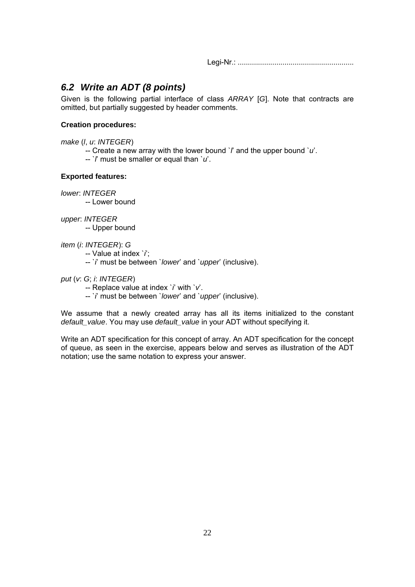## *6.2 Write an ADT (8 points)*

Given is the following partial interface of class *ARRAY* [*G*]. Note that contracts are omitted, but partially suggested by header comments.

### **Creation procedures:**

*make* (*l*, *u*: *INTEGER*)

- -- Create a new array with the lower bound `*l*' and the upper bound `*u*'.
- -- `*l*' must be smaller or equal than `*u*'.

### **Exported features:**

*lower*: *INTEGER*

-- Lower bound

*upper*: *INTEGER*

-- Upper bound

*item* (*i*: *INTEGER*): *G*

-- Value at index `*i*';

- -- `*i*' must be between `*lower*' and `*upper*' (inclusive).
- *put* (*v*: *G*; *i*: *INTEGER*)
	- -- Replace value at index `*i*' with `*v*'.
	- -- `*i*' must be between `*lower*' and `*upper*' (inclusive).

We assume that a newly created array has all its items initialized to the constant *default\_value*. You may use *default\_value* in your ADT without specifying it.

Write an ADT specification for this concept of array. An ADT specification for the concept of queue, as seen in the exercise, appears below and serves as illustration of the ADT notation; use the same notation to express your answer.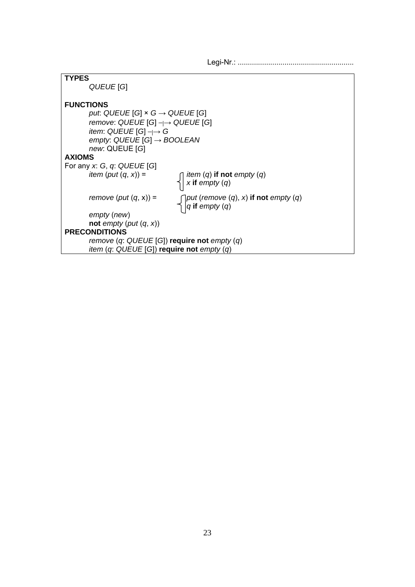| <b>TYPES</b>                                                                                               |  |
|------------------------------------------------------------------------------------------------------------|--|
| QUEUE [G]                                                                                                  |  |
|                                                                                                            |  |
|                                                                                                            |  |
| <b>FUNCTIONS</b>                                                                                           |  |
| put. QUEUE [G] $\times$ G $\rightarrow$ QUEUE [G]                                                          |  |
| remove: $QUEUE[G] \rightarrow QUEUE[G]$                                                                    |  |
| item: QUEUE [G] $\neg \rightarrow G$                                                                       |  |
|                                                                                                            |  |
| empty: QUEUE [G] $\rightarrow$ BOOLEAN                                                                     |  |
| new: QUEUE [G]                                                                                             |  |
| <b>AXIOMS</b>                                                                                              |  |
| For any x: G, q: QUEUE [G]                                                                                 |  |
| <i>item</i> ( <i>put</i> $(q, x)$ ) =                                                                      |  |
| <i>item</i> ( <i>q</i> ) <b>if not</b> empty ( <i>q</i> ) $x$ <b>if</b> empty ( <i>q</i> )                 |  |
|                                                                                                            |  |
| remove (put $(q, x)$ ) =                                                                                   |  |
| $\begin{cases}$ put (remove (q), x) if not empty (q)<br>$\begin{cases} q \text{ if } empty(q) \end{cases}$ |  |
| empty (new)                                                                                                |  |
| not empty (put $(q, x)$ )                                                                                  |  |
|                                                                                                            |  |
| <b>PRECONDITIONS</b>                                                                                       |  |
| remove $(q: \text{QUEUE}[G])$ require not empty $(q)$                                                      |  |
| item (q: $QUEUE[G]$ ) require not empty (q)                                                                |  |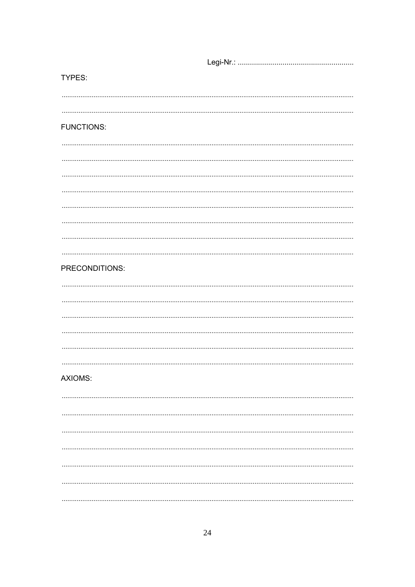TYPES: **FUNCTIONS:** PRECONDITIONS: **AXIOMS:**